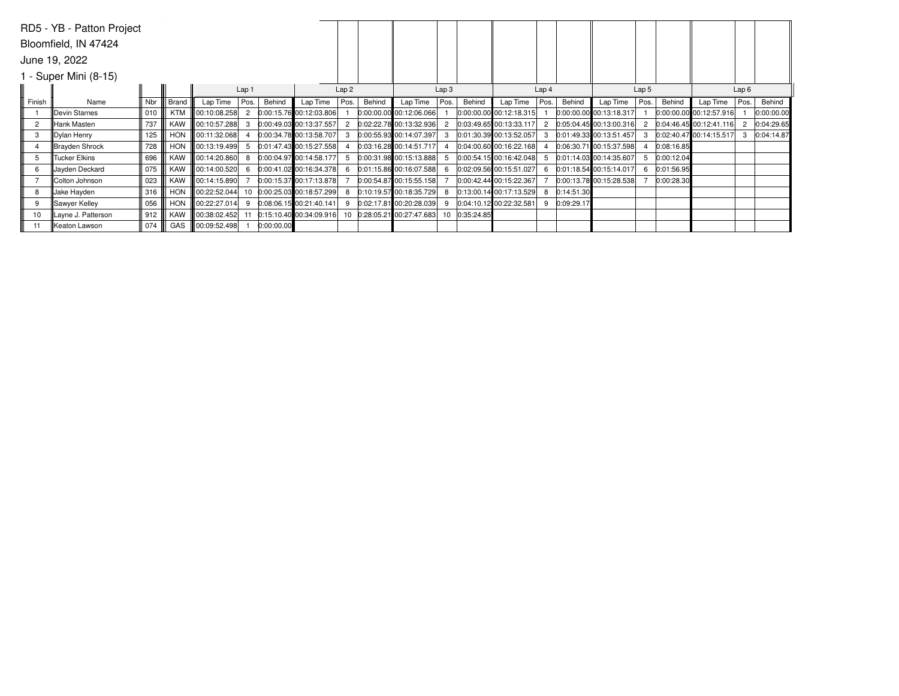|                       | RD5 - YB - Patton Project |        |            |                          |              |            |                            |                |        |                            |                  |            |                         |                  |            |                             |                  |            |                           |      |            |
|-----------------------|---------------------------|--------|------------|--------------------------|--------------|------------|----------------------------|----------------|--------|----------------------------|------------------|------------|-------------------------|------------------|------------|-----------------------------|------------------|------------|---------------------------|------|------------|
| Bloomfield, IN 47424  |                           |        |            |                          |              |            |                            |                |        |                            |                  |            |                         |                  |            |                             |                  |            |                           |      |            |
| June 19, 2022         |                           |        |            |                          |              |            |                            |                |        |                            |                  |            |                         |                  |            |                             |                  |            |                           |      |            |
| I - Super Mini (8-15) |                           |        |            |                          |              |            |                            |                |        |                            |                  |            |                         |                  |            |                             |                  |            |                           |      |            |
|                       | Lap 1<br>Lap2             |        |            |                          |              |            |                            |                |        |                            | Lap <sub>3</sub> |            |                         | Lap <sub>4</sub> |            |                             | Lap <sub>5</sub> |            | Lap6                      |      |            |
| Finish                | Name                      | Nbr    | Brand      | Lap Time                 | Pos.         | Behind     | Lap Time                   | Pos.           | Behind | Lap Time                   | Pos.             | Behind     | Lap Time                | Pos.             | Behind     | Lap Time                    | Pos.             | Behind     | Lap Time                  | Pos. | Behind     |
|                       | Devin Starnes             | 010    | KTM        | 00:10:08.258             | $\mathbf{2}$ |            | $0:00:15.76$ 00:12:03.806  |                |        | $0:00:00.00$ 00:12:06.066  |                  |            | 0:00:00.00 00:12:18.315 |                  |            | $[0:00:00.00]$ 00:13:18.317 |                  |            | $0:00:00.00$ 00:12:57.916 |      | 0:00:00.00 |
| $\overline{2}$        | Hank Masten               | 737 l  | KAW        | 00:10:57.288             | 3            |            | 0:00:49.03 00:13:37.557    | $\overline{2}$ |        | $0:02:22.78$ 00:13:32.936  |                  |            | 0:03:49.65 00:13:33.117 |                  |            | $0.05.04.45$ 00:13:00.316   |                  |            | $0:04:46.45$ 00:12:41.116 |      | 0:04:29.65 |
| 3                     | Dylan Henry               | 125    | <b>HON</b> | 00:11:32.068             |              |            | $0:00:34.78$ 00:13:58.707  | 3              |        | $0:00:55.93$ 00:14:07.397  |                  |            | 0:01:30.39 00:13:52.057 |                  |            | $0.01:49.33$ 00:13:51.457   |                  |            | $0.02:40.47$ 00:14:15.517 |      | 0:04:14.87 |
| 4                     | Brayden Shrock            | 728 II | HON        | 00:13:19.499             | 5            |            | 0:01:47.43 00:15:27.558    |                |        | $0:03:16.28$ 00:14:51.717  |                  |            | 0:04:00.60 00:16:22.168 |                  |            | $0:06:30.71$ 00:15:37.598   |                  | 0:08:16.85 |                           |      |            |
| 5                     | Tucker Elkins             | 696    |            | KAW   00:14:20.860       | 8            |            | 0:00:04.97 00:14:58.177    | -5             |        | $0:00:31.98$ 00:15:13.888  |                  |            | 0:00:54.15 00:16:42.048 |                  |            | $0.01:14.03$ 00:14:35.607   |                  | 0:00:12.04 |                           |      |            |
| 6                     | Jayden Deckard            | 075    |            | KAW   00:14:00.520       | 6            |            | $0:00:41.02$ 00:16:34.378  |                |        | $0:01:15.86$ 00:16:07.588  |                  |            | 0:02:09.56 00:15:51.027 | 6                |            | $0.01:18.54$ 00:15:14.017   |                  | 0:01:56.95 |                           |      |            |
|                       | Colton Johnson            | 023    | KAW        | $\parallel$ 00:14:15.890 |              |            | 0:00:15.37 00:17:13.878    |                |        | $0:00:54.87$ 00:15:55.158  |                  |            | 0:00:42.44 00:15:22.367 |                  |            | 0:00:13.78 00:15:28.538     |                  | 0:00:28.30 |                           |      |            |
| 8                     | Jake Hayden               | 316    | HON        | 00:22:52.044             |              |            | 10 0:00:25.03 00:18:57.299 |                |        | $0:10:19.57$ 00:18:35.729  |                  |            | 0:13:00.14 00:17:13.529 | 8                | 0:14:51.30 |                             |                  |            |                           |      |            |
| 9                     | Sawyer Kelley             | 056    |            | HON 100:22:27.014        | 9            |            | $0.08:06.15$ 00:21:40.141  | 9              |        | 0:02:17.81 00:20:28.039    |                  |            | 0:04:10.12 00:22:32.581 | 9                | 0:09:29.17 |                             |                  |            |                           |      |            |
| 10                    | Layne J. Patterson        | 912    |            | KAW   00:38:02.452       | 11           |            | $0:15:10.40$ 00:34:09.916  |                |        | 10 0:28:05.21 00:27:47.683 | 10               | 0:35:24.85 |                         |                  |            |                             |                  |            |                           |      |            |
| 11                    | ∥Keaton Lawson            | 074    |            | GAS 100:09:52.498        |              | 0:00:00.00 |                            |                |        |                            |                  |            |                         |                  |            |                             |                  |            |                           |      |            |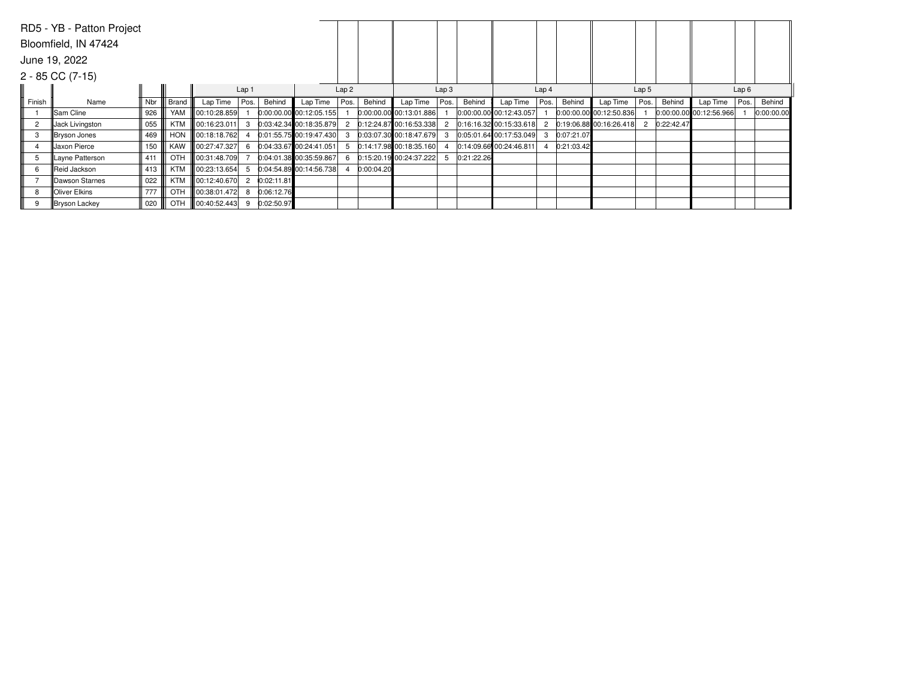|                        | RD5 - YB - Patton Project |                   |       |                    |                |            |                             |      |            |                           |                  |            |                         |                  |            |                             |                  |            |                           |      |            |  |
|------------------------|---------------------------|-------------------|-------|--------------------|----------------|------------|-----------------------------|------|------------|---------------------------|------------------|------------|-------------------------|------------------|------------|-----------------------------|------------------|------------|---------------------------|------|------------|--|
| Bloomfield, IN 47424   |                           |                   |       |                    |                |            |                             |      |            |                           |                  |            |                         |                  |            |                             |                  |            |                           |      |            |  |
| June 19, 2022          |                           |                   |       |                    |                |            |                             |      |            |                           |                  |            |                         |                  |            |                             |                  |            |                           |      |            |  |
| $2 - 85$ CC $(7 - 15)$ |                           |                   |       |                    |                |            |                             |      |            |                           |                  |            |                         |                  |            |                             |                  |            |                           |      |            |  |
| Lap <sub>1</sub>       |                           |                   |       |                    |                |            |                             | Lap2 |            |                           | Lap <sub>3</sub> |            |                         | Lap <sub>4</sub> |            |                             | Lap <sub>5</sub> |            |                           | Lap6 |            |  |
| Finish                 | Name                      | Nbr I             | Brand | Lap Time           | Pos.           | Behind     | Lap Time                    | Pos. | Behind     | Lap Time                  | Pos.             | Behind     | Lap Time                | Pos.             | Behind     | Lap Time                    | Pos.             | Behind     | Lap Time                  | Pos. | Behind     |  |
|                        | Sam Cline                 | 926               | YAM   | $\ 00:10:28.859\ $ |                |            | 0:00:00.00 00:12:05.155     |      |            | 0:00:00.00 00:13:01.886   |                  |            | 0:00:00.00 00:12:43.057 |                  |            | $ 0:00:00.00 $ 00:12:50.836 |                  |            | $0:00:00.00$ 00:12:56.966 |      | 0:00:00.00 |  |
| $\overline{2}$         | Jack Livingston           | 055               |       | KTM   00:16:23.011 |                |            | 3 0:03:42.34 00:18:35.879 2 |      |            | $0:12:24.87$ 00:16:53.338 |                  |            | 0.16.16.32 00.15.33.618 |                  |            | 2 0:19:06.88 00:16:26.418   | $\overline{2}$   | 0:22:42.47 |                           |      |            |  |
| 3                      | Bryson Jones              | 469               |       | HON 100:18:18.762  |                |            | $0:01:55.75$ 00:19:47.430   | -3   |            | $0:03:07.30$ 00:18:47.679 |                  |            | 0:05:01.64 00:17:53.049 | 3                | 0:07:21.07 |                             |                  |            |                           |      |            |  |
| 4                      | Jaxon Pierce              | $150$ $\parallel$ |       | KAW   00:27:47.327 | 6              |            | 0:04:33.67 00:24:41.051     | 5    |            | $0:14:17.98$ 00:18:35.160 |                  |            | 0:14:09.66 00:24:46.811 |                  | 0:21:03.42 |                             |                  |            |                           |      |            |  |
| 5                      | Layne Patterson           | 411               | OTH   | 00:31:48.709       |                |            | $0:04:01.38$ 00:35:59.867   | -6   |            | 0:15:20.1900:24:37.222    | -5               | 0:21:22.26 |                         |                  |            |                             |                  |            |                           |      |            |  |
| 6                      | <b>IReid Jackson</b>      | 413               | KTM   | $\log 23:13.654$   | 5              |            | 0:04:54.89 00:14:56.738     |      | 0:00:04.20 |                           |                  |            |                         |                  |            |                             |                  |            |                           |      |            |  |
|                        | Dawson Starnes            | $022$ $\parallel$ |       | KTM   00:12:40.670 | $\overline{2}$ | 0:02:11.81 |                             |      |            |                           |                  |            |                         |                  |            |                             |                  |            |                           |      |            |  |
| 8                      | <b>Oliver Elkins</b>      | 777 II            | OTH   | 00:38:01.472       | 8              | 0:06:12.76 |                             |      |            |                           |                  |            |                         |                  |            |                             |                  |            |                           |      |            |  |
| 9                      | Bryson Lackey             | 020               | OTH   | 00:40:52.443       | 9              | 0:02:50.97 |                             |      |            |                           |                  |            |                         |                  |            |                             |                  |            |                           |      |            |  |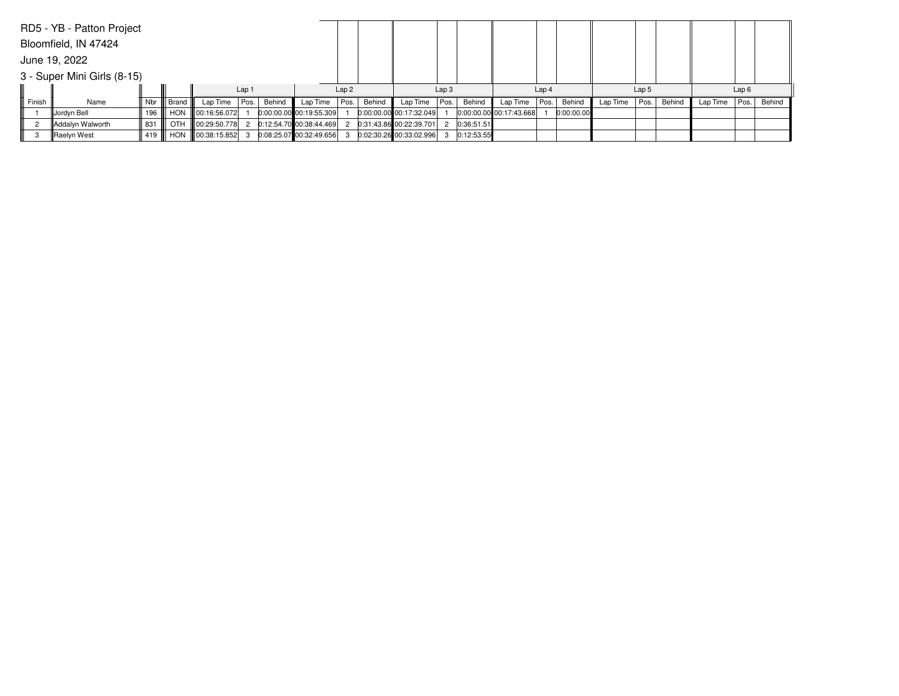|                             | RD5 - YB - Patton Project |         |              |                                                  |       |        |                           |      |        |                           |                  |            |                           |                  |            |          |                  |        |          |      |        |
|-----------------------------|---------------------------|---------|--------------|--------------------------------------------------|-------|--------|---------------------------|------|--------|---------------------------|------------------|------------|---------------------------|------------------|------------|----------|------------------|--------|----------|------|--------|
| Bloomfield, IN 47424        |                           |         |              |                                                  |       |        |                           |      |        |                           |                  |            |                           |                  |            |          |                  |        |          |      |        |
|                             | June 19, 2022             |         |              |                                                  |       |        |                           |      |        |                           |                  |            |                           |                  |            |          |                  |        |          |      |        |
| 3 - Super Mini Girls (8-15) |                           |         |              |                                                  |       |        |                           |      |        |                           |                  |            |                           |                  |            |          |                  |        |          |      |        |
|                             |                           |         |              |                                                  | Lap 1 |        |                           | Lap2 |        |                           | Lap <sub>3</sub> |            |                           | Lap <sub>4</sub> |            |          | Lap <sub>5</sub> |        |          | Lap6 |        |
| Finish                      | Name                      |         | Nbr    Brand | Lap Time   Pos.                                  |       | Behind | Lap Time                  | Pos. | Behind | Lap Time                  | Pos.             | Behind     | Lap Time                  | Pos.             | Behind     | Lap Time | Pos.             | Behind | Lap Time | Pos. | Behind |
|                             | Jordyn Bell               |         |              | 196    HON    00:16:56.072                       |       |        | $0:00:00.00$ 00:19:55.309 |      |        | 0:00:00.00 00:17:32.049   |                  |            | $0:00:00.00$ 00:17:43.668 |                  | 0:00:00.00 |          |                  |        |          |      |        |
| $\overline{2}$              | Addalyn Walworth          | 831 III |              | OTH    00:29:50.778  2  0:12:54.70  00:38:44.469 |       |        |                           |      |        | $0:31:43.86$ 00:22:39.701 |                  | 0:36:51.51 |                           |                  |            |          |                  |        |          |      |        |
| 3                           | Raelyn West               |         |              | 419 HON 00:38:15.852                             |       |        | $0:08:25.07$ 00:32:49.656 |      |        | $0.02:30.26$ 00:33:02.996 | 3                | 0:12:53.55 |                           |                  |            |          |                  |        |          |      |        |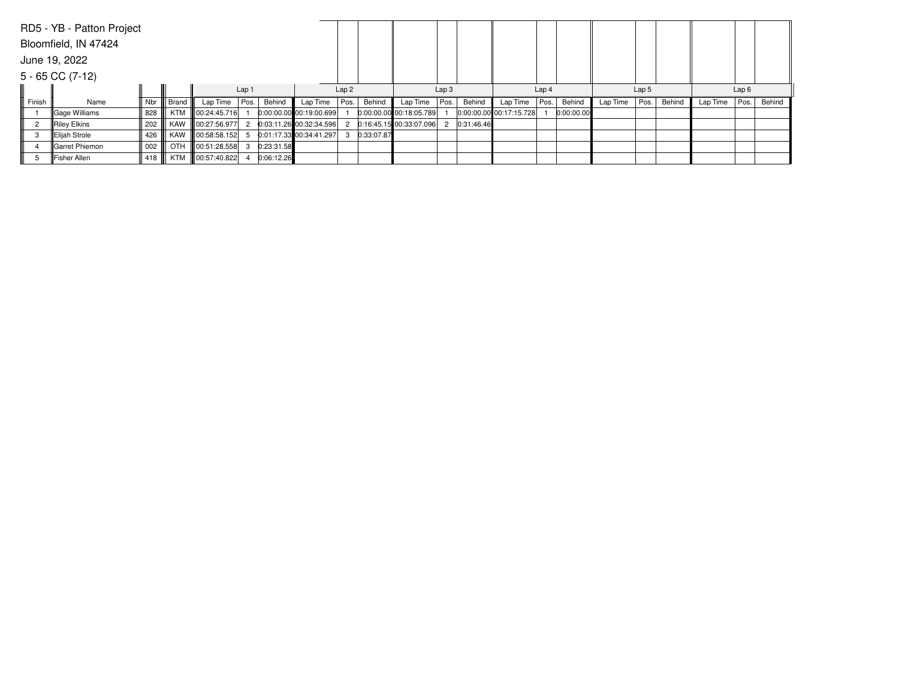|                      | RD5 - YB - Patton Project |     |       |                           |                  |            |                           |      |            |                         |                  |            |                         |                  |            |          |                  |        |          |      |        |  |
|----------------------|---------------------------|-----|-------|---------------------------|------------------|------------|---------------------------|------|------------|-------------------------|------------------|------------|-------------------------|------------------|------------|----------|------------------|--------|----------|------|--------|--|
| Bloomfield, IN 47424 |                           |     |       |                           |                  |            |                           |      |            |                         |                  |            |                         |                  |            |          |                  |        |          |      |        |  |
| June 19, 2022        |                           |     |       |                           |                  |            |                           |      |            |                         |                  |            |                         |                  |            |          |                  |        |          |      |        |  |
| $5 - 65$ CC $(7-12)$ |                           |     |       |                           |                  |            |                           |      |            |                         |                  |            |                         |                  |            |          |                  |        |          |      |        |  |
|                      |                           |     |       |                           | Lap <sub>1</sub> |            |                           | Lap2 |            |                         | Lap <sub>3</sub> |            |                         | Lap <sub>4</sub> |            |          | Lap <sub>5</sub> |        |          | Lap6 |        |  |
| Finish               | Name                      | Nbr | Brand | Lap Time                  | Pos.             | Behind     | Lap Time                  | Pos. | Behind     | Lap Time                | Pos.             | Behind     | Lap Time                | Pos.             | Behind     | Lap Time | Pos.             | Behind | Lap Time | Pos. | Behind |  |
|                      | Gage Williams             | 828 |       | KTM 100:24:45.716         |                  |            | $0:00:00.00$ 00:19:00.699 |      |            | 0:00:00.00 00:18:05.789 |                  |            | 0:00:00.00 00:17:15.728 |                  | 0:00:00.00 |          |                  |        |          |      |        |  |
| $\overline{2}$       | Riley Elkins              | 202 |       | KAW 100:27:56.977         |                  |            | $0:03:11.26$ 00:32:34.596 |      |            | 0:16:45.15 00:33:07.096 | $^{2}$           | 0:31:46.46 |                         |                  |            |          |                  |        |          |      |        |  |
| 3                    | Elijah Strole             | 426 |       | KAW    00:58:58.152       |                  |            | 0:01:17.33 00:34:41.297   | 3    | 0:33:07.87 |                         |                  |            |                         |                  |            |          |                  |        |          |      |        |  |
| 4                    | Garret Phiemon            | 002 |       | OTH 00:51:28.558          |                  | 0:23:31.58 |                           |      |            |                         |                  |            |                         |                  |            |          |                  |        |          |      |        |  |
| 5                    | Fisher Allen              |     |       | 418    KTM   00:57:40.822 |                  | 0:06:12.26 |                           |      |            |                         |                  |            |                         |                  |            |          |                  |        |          |      |        |  |